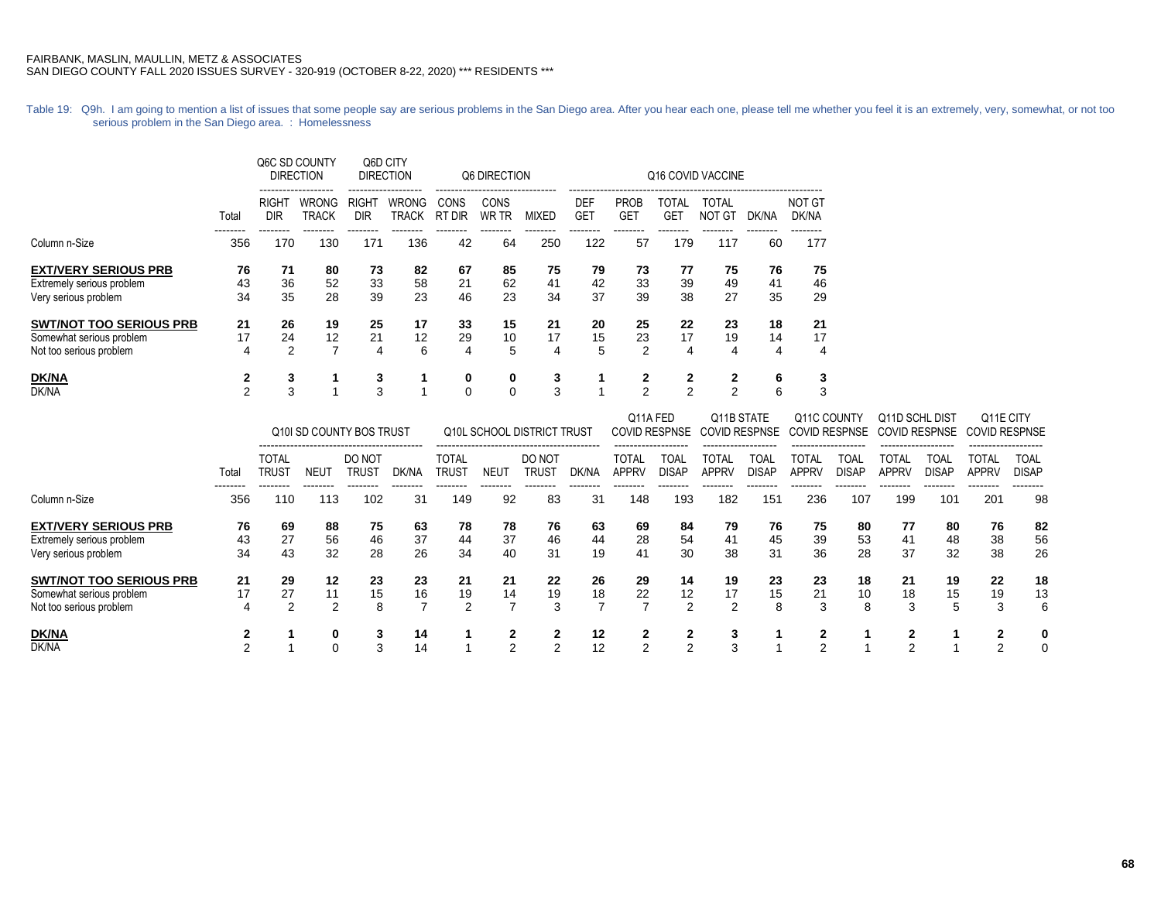Table 19: Q9h. I am going to mention a list of issues that some people say are serious problems in the San Diego area. After you hear each one, please tell me whether you feel it is an extremely, very, somewhat, or not too serious problem in the San Diego area. : Homelessness

|                                |       |                          | Q6C SD COUNTY<br><b>DIRECTION</b> | Q6D CITY<br><b>DIRECTION</b>    |                              |                              | Q6 DIRECTION         |              | Q16 COVID VACCINE        |                           |                            |                               |       |                        |  |  |  |
|--------------------------------|-------|--------------------------|-----------------------------------|---------------------------------|------------------------------|------------------------------|----------------------|--------------|--------------------------|---------------------------|----------------------------|-------------------------------|-------|------------------------|--|--|--|
|                                | Total | RIGH <sup>-</sup><br>DIR | WRONG<br><b>TRACK</b>             | RIGH <sub>1</sub><br><b>DIR</b> | <b>WRONG</b><br><b>TRACK</b> | <b>CONS</b><br><b>RT DIR</b> | CONS<br><b>WR TR</b> | <b>MIXED</b> | <b>DEF</b><br><b>GET</b> | <b>PROB</b><br><b>GET</b> | <b>TOTAL</b><br><b>GET</b> | <b>TOTAL</b><br><b>NOT GT</b> | DK/NA | <b>NOT GT</b><br>DK/NA |  |  |  |
| Column n-Size                  | 356   | 170                      | 130                               | 171                             | 136                          | 42                           | 64                   | 250          | 122                      | 57                        | 179                        | 117                           | 60    | 177                    |  |  |  |
| <b>EXT/VERY SERIOUS PRB</b>    | 76    | 71                       | 80                                | 73                              | 82                           | 67                           | 85                   | 75           | 79                       | 73                        | 77                         | 75                            | 76    | 75                     |  |  |  |
| Extremely serious problem      | 43    | 36                       | 52                                | 33                              | 58                           | 21                           | 62                   | 41           | 42                       | 33                        | 39                         | 49                            | 41    | 46                     |  |  |  |
| Very serious problem           | 34    | 35                       | 28                                | 39                              | 23                           | 46                           | 23                   | 34           | 37                       | 39                        | 38                         | 27                            | 35    | 29                     |  |  |  |
| <b>SWT/NOT TOO SERIOUS PRB</b> | 21    | 26                       | 19                                | 25                              | 17                           | 33                           | 15                   | 21           | 20                       | 25                        | 22                         | 23                            | 18    | 21                     |  |  |  |
| Somewhat serious problem       | 17    | 24                       | 12                                | 21                              | 12                           | 29                           | 10                   | 17           | 15                       | 23                        | 17                         | 19                            | 14    | 17                     |  |  |  |
| Not too serious problem        | 4     | 2                        | 7                                 | 4                               | 6                            | 4                            | 5                    | 4            | 5                        | $\overline{2}$            | 4                          | 4                             | 4     | 4                      |  |  |  |
| <b>DK/NA</b>                   | 2     | 3                        |                                   | 3                               |                              | 0                            | 0                    | 3            |                          | 2                         | $\mathbf{2}$               | 2                             | 6     | 3                      |  |  |  |
| DK/NA                          | 2     | 3                        |                                   | 3                               |                              | $\Omega$                     | 0                    | 3            |                          | 2                         | $\mathfrak{p}$             | 2                             | 6     | 3                      |  |  |  |

|                                |                 | Q10I SD COUNTY BOS TRUST |                 |                 |       | Q10L SCHOOL DISTRICT TRUST |             |                 |       |                       | Q11A FED<br><b>COVID RESPNSE</b><br>------------------ |                       | Q11B STATE<br><b>COVID RESPNSE</b><br>------------------- |                       | Q11C COUNTY<br><b>COVID RESPNSE</b><br>------------------- |                       | Q11D SCHL DIST<br>COVID RESPNSE<br>------------------ |                                             | Q11E CITY<br><b>COVID RESPNSE</b> |
|--------------------------------|-----------------|--------------------------|-----------------|-----------------|-------|----------------------------|-------------|-----------------|-------|-----------------------|--------------------------------------------------------|-----------------------|-----------------------------------------------------------|-----------------------|------------------------------------------------------------|-----------------------|-------------------------------------------------------|---------------------------------------------|-----------------------------------|
|                                | Total           | <b>TOTAL</b><br>trus1    | NEUT            | DO NOT<br>trus1 | DK/NA | <b>TOTAL</b><br>Trust      | <b>NEU1</b> | DO NOT<br>trus1 | dk/na | <b>TOTAL</b><br>APPRV | TOAI<br><b>DISAP</b>                                   | TOTAL<br><b>APPRV</b> | TOAL<br><b>DISAP</b>                                      | TOTAL<br><b>APPRV</b> | TOAL<br><b>DISAP</b>                                       | TOTAL<br><b>APPRV</b> | TOAL<br>DISAP                                         | ------------------<br>TOTAL<br><b>APPRV</b> | TOAL<br><b>DISAP</b>              |
| Column n-Size                  | --------<br>356 | --------<br>110          | --------<br>113 | --------<br>102 | 31    | 149                        | 92          | 83              | 31    | -------<br>148        | 193                                                    | 182                   | 151                                                       | 236                   | 107                                                        | 199                   | 101                                                   | --------<br>201                             | --------<br>98                    |
| <b>EXT/VERY SERIOUS PRB</b>    | 76              | 69                       | 88              | 75              | 63    | 78                         | 78          | 76              | 63    | 69                    | 84                                                     | 79                    | 76                                                        | 75                    | 80                                                         | 77                    | 80                                                    | 76                                          | 82                                |
| Extremely serious problem      | 43              | 27                       | 56              | 46              | 37    | 44                         | 37          | 46              | 44    | 28                    | 54                                                     | 41                    | 45                                                        | 39                    | 53                                                         | 41                    | 48                                                    | 38                                          | 56                                |
| Very serious problem           | 34              | 43                       | 32              | 28              | 26    | 34                         | 40          | 31              | 19    | 41                    | 30                                                     | 38                    | 31                                                        | 36                    | 28                                                         | 37                    | 32                                                    | 38                                          | 26                                |
| <b>SWT/NOT TOO SERIOUS PRB</b> | 21              | 29                       | 12              | 23              | 23    | 21                         | 21          | 22              | 26    | 29                    | 14                                                     | 19                    | 23                                                        | 23                    | 18                                                         | 21                    | 19                                                    | 22                                          | 18                                |
| Somewhat serious problem       | 17              | 27                       | 11              | 15              | 16    | 19                         | 14          | 19              | 18    | 22                    | 12                                                     | 17                    | 15                                                        | 21                    | 10                                                         | 18                    | 15                                                    | 19                                          | 13                                |
| Not too serious problem        | 4               | າ                        | 2               | 8               |       | 2                          |             | 3               |       |                       | 2                                                      | 2                     |                                                           | 3                     | 8                                                          | 3                     | 5                                                     | 3                                           | 6                                 |
| DK/NA                          |                 |                          | 0               | 3               | 14    |                            |             |                 | 12    |                       |                                                        | 3                     |                                                           |                       |                                                            | ◠                     |                                                       | ◠                                           | 0                                 |
| DK/NA                          | ⌒               |                          | 0               | 3               | 14    |                            |             | າ               | 12    |                       |                                                        | 3                     |                                                           | $\sqrt{2}$            |                                                            | $\sim$                |                                                       | ⌒                                           | 0                                 |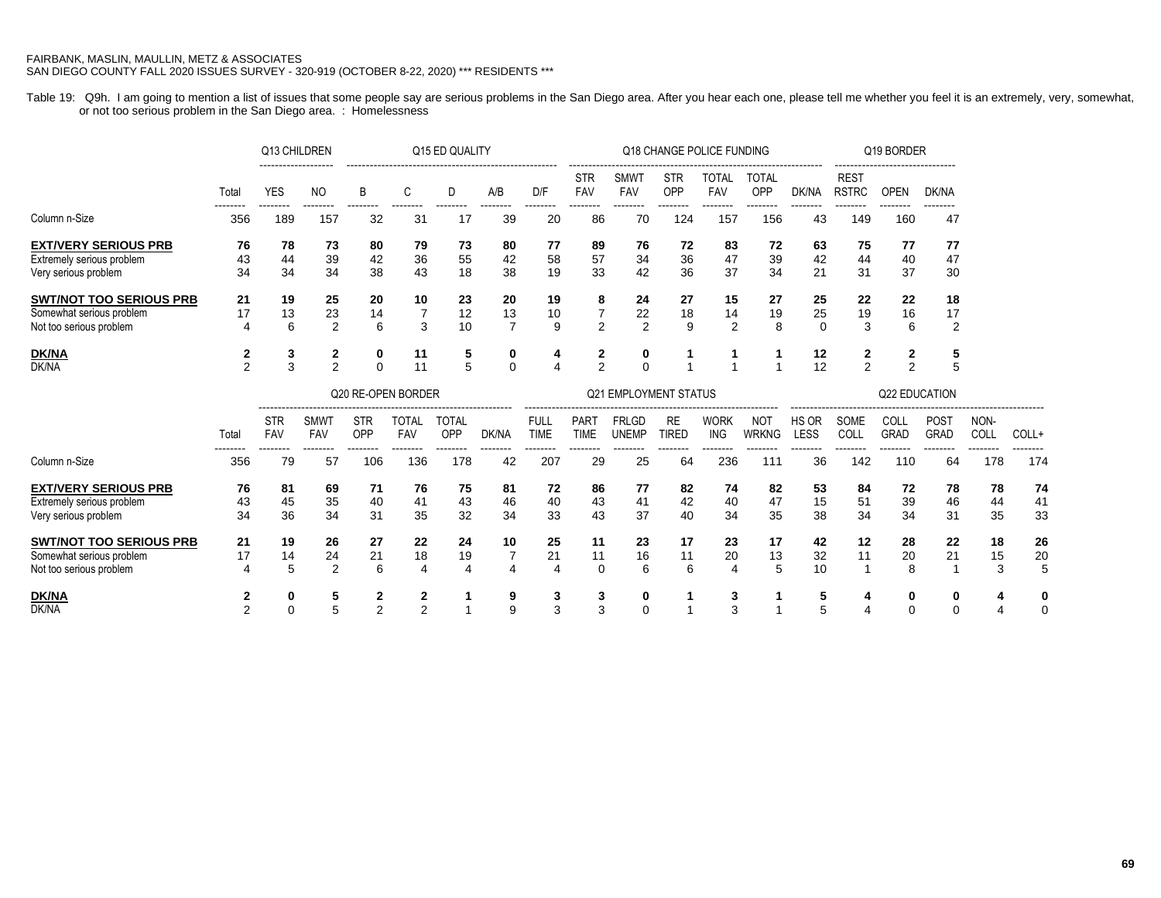Table 19: Q9h. I am going to mention a list of issues that some people say are serious problems in the San Diego area. After you hear each one, please tell me whether you feel it is an extremely, very, somewhat, or not too serious problem in the San Diego area. : Homelessness

|                                                                                       |                     | Q13 CHILDREN      |                           |                     |                                | Q15 ED QUALITY      |                            |                            |                            |                                               |                           | Q18 CHANGE POLICE FUNDING  |                            |                      |                             | Q19 BORDER          |                            |                          |                 |
|---------------------------------------------------------------------------------------|---------------------|-------------------|---------------------------|---------------------|--------------------------------|---------------------|----------------------------|----------------------------|----------------------------|-----------------------------------------------|---------------------------|----------------------------|----------------------------|----------------------|-----------------------------|---------------------|----------------------------|--------------------------|-----------------|
|                                                                                       | Total               | <b>YES</b>        | <b>NO</b>                 | B                   | C                              | D                   | A/B                        | D/F                        | <b>STR</b><br>FAV          | <b>SMWT</b><br>FAV                            | <b>STR</b><br>OPP         | TOTAL<br>FAV               | <b>TOTAL</b><br>OPP        | DK/NA                | <b>REST</b><br><b>RSTRC</b> | <b>OPEN</b>         | DK/NA                      |                          |                 |
| Column n-Size                                                                         | --------<br>356     | --------<br>189   | --------<br>157           | --------<br>32      | --------<br>31                 | --------<br>17      | --------<br>39             | --------<br>20             | --------<br>86             | --------<br>70                                | --------<br>124           | --------<br>157            | ---------<br>156           | --------<br>43       | --------<br>149             | --------<br>160     | --------<br>47             |                          |                 |
| <b>EXT/VERY SERIOUS PRB</b><br>Extremely serious problem<br>Very serious problem      | 76<br>43<br>34      | 78<br>44<br>34    | 73<br>39<br>34            | 80<br>42<br>38      | 79<br>36<br>43                 | 73<br>55<br>18      | 80<br>42<br>38             | 77<br>58<br>19             | 89<br>57<br>33             | 76<br>34<br>42                                | 72<br>36<br>36            | 83<br>47<br>37             | 72<br>39<br>34             | 63<br>42<br>21       | 75<br>44<br>31              | 77<br>40<br>37      | 77<br>47<br>30             |                          |                 |
| <b>SWT/NOT TOO SERIOUS PRB</b><br>Somewhat serious problem<br>Not too serious problem | 21<br>17<br>4       | 19<br>13<br>6     | 25<br>23<br>2             | 20<br>14<br>6       | 10<br>3                        | 23<br>12<br>10      | 20<br>13<br>$\overline{7}$ | 19<br>10<br>9              | 8<br>$\overline{7}$<br>2   | 24<br>22<br>2                                 | 27<br>18<br>9             | 15<br>14<br>$\overline{2}$ | 27<br>19<br>8              | 25<br>25<br>$\Omega$ | 22<br>19<br>3               | 22<br>16<br>6       | 18<br>17<br>$\overline{2}$ |                          |                 |
| <b>DK/NA</b><br><b>DK/NA</b>                                                          | 2<br>$\overline{2}$ | 3<br>3            | 2<br>$\overline{2}$       | 0<br>$\Omega$       | 11<br>11<br>Q20 RE-OPEN BORDER | 5<br>5              | 0<br>$\Omega$              | 4<br>$\overline{4}$        | 2<br>2                     | 0<br>$\Omega$<br><b>Q21 EMPLOYMENT STATUS</b> | $\overline{ }$            |                            |                            | 12<br>12             | 2<br>$\overline{2}$         | 2<br>$\overline{2}$ | 5<br>5<br>Q22 EDUCATION    |                          |                 |
|                                                                                       |                     |                   |                           |                     |                                |                     |                            |                            |                            |                                               |                           |                            |                            |                      | -----------------------     |                     |                            |                          |                 |
|                                                                                       | Total               | <b>STR</b><br>FAV | <b>SMWT</b><br><b>FAV</b> | <b>STR</b><br>OPP   | <b>TOTAL</b><br>FAV            | <b>TOTAL</b><br>OPP | DK/NA                      | <b>FULL</b><br><b>TIME</b> | <b>PART</b><br><b>TIME</b> | <b>FRLGD</b><br><b>UNEMP</b>                  | <b>RE</b><br><b>TIRED</b> | <b>WORK</b><br><b>ING</b>  | <b>NOT</b><br><b>WRKNG</b> | HS OR<br>LESS        | SOME<br>COLL                | COLL<br><b>GRAD</b> | <b>POST</b><br><b>GRAD</b> | NON-<br>COLL             | COLL+           |
| Column n-Size                                                                         | --------<br>356     | -------<br>79     | --------<br>57            | --------<br>106     | --------<br>136                | --------<br>178     | --------<br>42             | --------<br>207            | --------<br>29             | --------<br>25                                | --------<br>64            | --------<br>236            | --------<br>111            | --------<br>36       | --------<br>142             | --------<br>110     | --------<br>64             | $- - - - - - - -$<br>178 | --------<br>174 |
| <b>EXT/VERY SERIOUS PRB</b><br>Extremely serious problem<br>Very serious problem      | 76<br>43<br>34      | 81<br>45<br>36    | 69<br>35<br>34            | 71<br>40<br>31      | 76<br>41<br>35                 | 75<br>43<br>32      | 81<br>46<br>34             | 72<br>40<br>33             | 86<br>43<br>43             | 77<br>41<br>37                                | 82<br>42<br>40            | 74<br>40<br>34             | 82<br>47<br>35             | 53<br>15<br>38       | 84<br>51<br>34              | 72<br>39<br>34      | 78<br>46<br>31             | 78<br>44<br>35           | 74<br>41<br>33  |
| <b>SWT/NOT TOO SERIOUS PRB</b><br>Somewhat serious problem<br>Not too serious problem | 21<br>17            | 19<br>14<br>5     | 26<br>24<br>2             | 27<br>21<br>6       | 22<br>18<br>4                  | 24<br>19<br>4       | 10                         | 25<br>21<br>$\overline{4}$ | 11<br>11<br>$\Omega$       | 23<br>16<br>6                                 | 17<br>11<br>6             | 23<br>20<br>$\Delta$       | 17<br>13                   | 42<br>32<br>10       | 12<br>11                    | 28<br>20<br>8       | 22<br>21                   | 18<br>15<br>3            | 26<br>20<br>5   |
| <b>DK/NA</b><br>DK/NA                                                                 | 2<br>$\overline{2}$ | 0<br>$\Omega$     | 5<br>5                    | 2<br>$\overline{2}$ | 2<br>$\overline{2}$            |                     | 9<br>9                     | 3<br>3                     | 3<br>3                     | 0<br>$\Omega$                                 |                           | 3<br>3                     |                            | 5<br>5               |                             | 0<br>$\Omega$       | 0<br>$\Omega$              | 4<br>4                   | 0<br>$\Omega$   |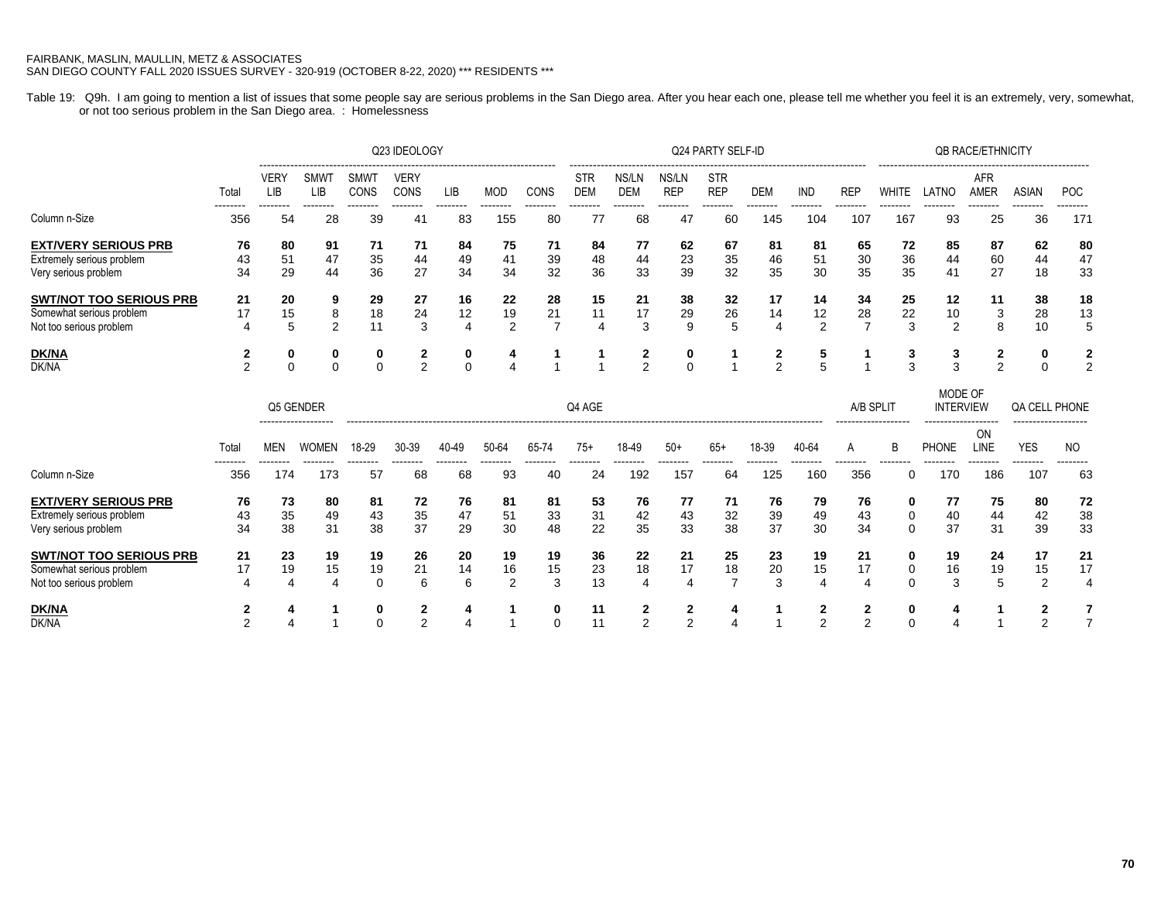Table 19: Q9h. I am going to mention a list of issues that some people say are serious problems in the San Diego area. After you hear each one, please tell me whether you feel it is an extremely, very, somewhat, or not too serious problem in the San Diego area. : Homelessness

|                                |                 |                |                    |                     | Q23 IDEOLOGY        |                |                 |                | Q24 PARTY SELF-ID        |                     |                     |                          |                 |                 |                 | <b>QB RACE/ETHNICITY</b> |                |                           |                |            |  |  |
|--------------------------------|-----------------|----------------|--------------------|---------------------|---------------------|----------------|-----------------|----------------|--------------------------|---------------------|---------------------|--------------------------|-----------------|-----------------|-----------------|--------------------------|----------------|---------------------------|----------------|------------|--|--|
|                                | Total           | VERY<br>LIB    | <b>SMWT</b><br>LIB | <b>SMW1</b><br>CONS | <b>VERY</b><br>CONS | <b>LIB</b>     | <b>MOD</b>      | CONS           | <b>STR</b><br><b>DEM</b> | NS/LN<br><b>DEM</b> | NS/LN<br><b>REP</b> | <b>STR</b><br><b>REP</b> | DEM             | <b>IND</b>      | <b>REP</b>      | WHITE                    | LATNC          | <b>AFR</b><br><b>AMER</b> | <b>ASIAN</b>   | <b>POC</b> |  |  |
| Column n-Size                  | --------<br>356 | --------<br>54 | --------<br>28     | --------<br>39      | 41                  | --------<br>83 | --------<br>155 | --------<br>80 | 77                       | 68                  | 47                  | --------<br>60           | --------<br>145 | --------<br>104 | --------<br>107 | --------<br>167          | --------<br>93 | --------<br>25            | --------<br>36 | .<br>171   |  |  |
| <b>EXT/VERY SERIOUS PRB</b>    | 76              | 80             | 91                 | 71                  | 71                  | 84             | 75              | 71             | 84                       | 77                  | 62                  | 67                       | 81              | -81             | 65              | 72                       | 85             | 87                        | 62             | 80         |  |  |
| Extremely serious problem      | 43              | 51             | 47                 | 35                  | 44                  | 49             | 41              | 39             | 48                       | 44                  | 23                  | 35                       | 46              | 51              | 30              | 36                       | 44             | 60                        | 44             | 47         |  |  |
| Very serious problem           | 34              | 29             | 44                 | 36                  | 27                  | 34             | 34              | 32             | 36                       | 33                  | 39                  | 32                       | 35              | 30              | 35              | 35                       | 41             | 27                        | 18             | 33         |  |  |
| <b>SWT/NOT TOO SERIOUS PRB</b> | 21              | 20             | 9                  | 29                  | 27                  | 16             | 22              | 28             | 15                       | 21                  | 38                  | 32                       | 17              | 14              | 34              | 25                       | 12             | 11                        | 38             | 18         |  |  |
| Somewhat serious problem       | 17              | 15             | 8                  | 18                  | 24                  | 12             | 19              | 21             | 11                       | 17                  | 29                  | 26                       | 14              | 12              | 28              | 22                       | 10             | 3                         | 28             | 13         |  |  |
| Not too serious problem        | 4               | 5              | 2                  | 11                  | 3                   | 4              | 2               |                | 4                        | 3                   | 9                   | 5                        | 4               | 2               |                 | 3                        | 2              | 8                         | 10             |            |  |  |
| DK/NA                          |                 | 0              | 0                  | 0                   |                     | 0              | 4               |                |                          |                     | 0                   |                          | $\mathbf{2}$    | 5               |                 | J.                       | 3              |                           | 0              |            |  |  |
| DK/NA                          |                 | $\mathbf 0$    |                    | $\mathbf 0$         | $\mathcal{P}$       | $\Omega$       |                 |                |                          | $\mathfrak{p}$      | $\mathbf{0}$        |                          | $\overline{2}$  | 5               |                 | 3                        | $\sim$         | $\mathfrak{p}$            |                |            |  |  |
|                                |                 |                |                    |                     |                     |                |                 |                |                          |                     |                     |                          |                 |                 |                 | MODE OF                  |                |                           |                |            |  |  |

|                                |                 |                 | Q5 GENDER                           | Q4 AGE         |                |                |                |                |                |                 |                 |                |                 | A/B SPLIT<br>------------------- |                 | <b>INTERVIEW</b> |                                     | QA CELL PHONE<br>------------------- |                 |                |
|--------------------------------|-----------------|-----------------|-------------------------------------|----------------|----------------|----------------|----------------|----------------|----------------|-----------------|-----------------|----------------|-----------------|----------------------------------|-----------------|------------------|-------------------------------------|--------------------------------------|-----------------|----------------|
|                                | Total           | MEN             | -------------------<br><b>WOMEN</b> | 18-29          | 30-39          | 40-49          | 50-64          | 65-74          | $75+$          | 18-49           | $50+$           | $65+$          | 18-39           | 40-64                            | A               | B                | -------------------<br><b>PHONE</b> | ON<br><b>LINE</b>                    | <b>YES</b>      | NO.            |
| Column n-Size                  | --------<br>356 | --------<br>174 | --------<br>173                     | --------<br>57 | --------<br>68 | --------<br>68 | --------<br>93 | --------<br>40 | --------<br>24 | --------<br>192 | --------<br>157 | --------<br>64 | --------<br>125 | --------<br>160                  | --------<br>356 | --------         | --------<br>170                     | --------<br>186                      | --------<br>107 | --------<br>63 |
| <b>EXT/VERY SERIOUS PRB</b>    | 76              | 73              | 80                                  | 81             | 72             | 76             | 81             | 81             | 53             | 76              | 77              | 71             | 76              | 79                               | 76              |                  | 77                                  | 75                                   | 80              | 72             |
| Extremely serious problem      | 43              | 35              | 49                                  | 43             | 35             | 47             | 51             | 33             | 31             | 42              | 43              | 32             | 39              | 49                               | 43              |                  | 40                                  | 44                                   | 42              | 38             |
| Very serious problem           | 34              | 38              | 31                                  | 38             | 37             | 29             | 30             | 48             | 22             | 35              | 33              | 38             | 37              | 30                               | 34              | 0                | 37                                  | 31                                   | 39              | 33             |
| <b>SWT/NOT TOO SERIOUS PRB</b> | 21              | 23              | 19                                  | 19             | 26             | 20             | 19             | 19             | 36             | 22              | 21              | 25             | 23              | 19                               | 21              |                  | 19                                  | 24                                   |                 | 21             |
| Somewhat serious problem       | 17              | 19              | 15                                  | 19             | 21             | 14             | 16             | 15             | 23             | 18              | 17              | 18             | 20              | 15                               | 17              |                  | 16                                  | 19                                   | 15              | 17             |
| Not too serious problem        | 4               | 4               | 4                                   | 0              | 6              | 6              | C              | $\sqrt{2}$     | 13             |                 | 4               |                | 3               |                                  | 4               |                  | ◠                                   | 5                                    | c               | 4              |
| <u>DK/NA</u>                   |                 |                 |                                     | 0              |                |                |                |                | 11             |                 |                 | л              |                 |                                  |                 |                  |                                     |                                      | ີ               |                |
| DK/NA                          |                 |                 |                                     | 0              | ີ              |                |                |                | 11             |                 |                 |                |                 | ◠                                |                 |                  |                                     |                                      | $\sim$          |                |